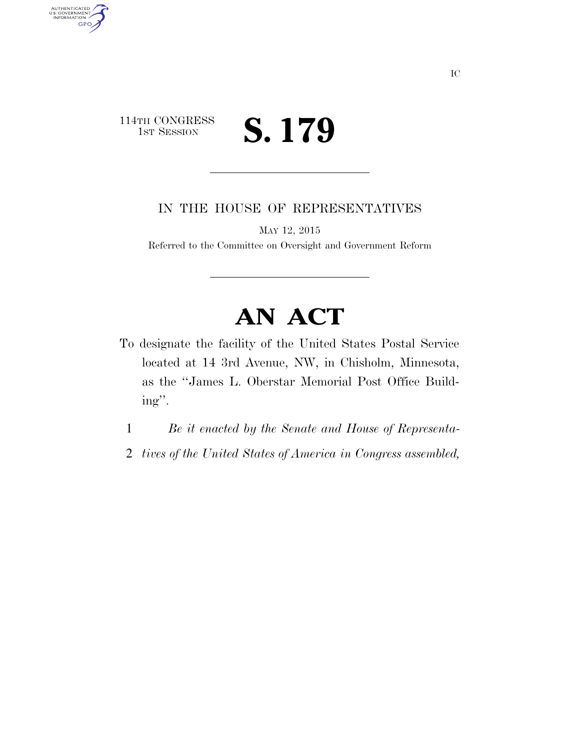## 114TH CONGRESS<br>1st Session S. 179

AUTHENTICATED<br>U.S. GOVERNMENT<br>INFORMATION

GPO

IN THE HOUSE OF REPRESENTATIVES

MAY 12, 2015

Referred to the Committee on Oversight and Government Reform

## **AN ACT**

- To designate the facility of the United States Postal Service located at 14 3rd Avenue, NW, in Chisholm, Minnesota, as the ''James L. Oberstar Memorial Post Office Building''.
	- 1 *Be it enacted by the Senate and House of Representa-*
	- 2 *tives of the United States of America in Congress assembled,*